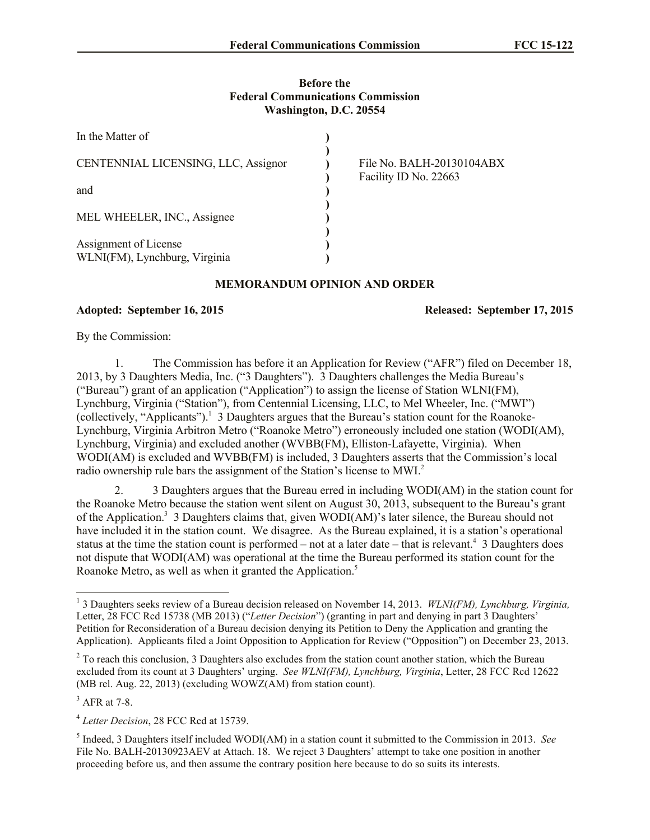#### **Before the Federal Communications Commission Washington, D.C. 20554**

| In the Matter of                                       |                                                    |
|--------------------------------------------------------|----------------------------------------------------|
| CENTENNIAL LICENSING, LLC, Assignor                    | File No. BALH-20130104ABX<br>Facility ID No. 22663 |
| and                                                    |                                                    |
| MEL WHEELER, INC., Assignee                            |                                                    |
| Assignment of License<br>WLNI(FM), Lynchburg, Virginia |                                                    |

# **MEMORANDUM OPINION AND ORDER**

# **Adopted: September 16, 2015 Released: September 17, 2015**

By the Commission:

1. The Commission has before it an Application for Review ("AFR") filed on December 18, 2013, by 3 Daughters Media, Inc. ("3 Daughters"). 3 Daughters challenges the Media Bureau's ("Bureau") grant of an application ("Application") to assign the license of Station WLNI(FM), Lynchburg, Virginia ("Station"), from Centennial Licensing, LLC, to Mel Wheeler, Inc. ("MWI") (collectively, "Applicants").<sup>1</sup> 3 Daughters argues that the Bureau's station count for the Roanoke-Lynchburg, Virginia Arbitron Metro ("Roanoke Metro") erroneously included one station (WODI(AM), Lynchburg, Virginia) and excluded another (WVBB(FM), Elliston-Lafayette, Virginia). When WODI(AM) is excluded and WVBB(FM) is included, 3 Daughters asserts that the Commission's local radio ownership rule bars the assignment of the Station's license to MWI.<sup>2</sup>

2. 3 Daughters argues that the Bureau erred in including WODI(AM) in the station count for the Roanoke Metro because the station went silent on August 30, 2013, subsequent to the Bureau's grant of the Application.<sup>3</sup> 3 Daughters claims that, given WODI(AM)'s later silence, the Bureau should not have included it in the station count. We disagree. As the Bureau explained, it is a station's operational status at the time the station count is performed – not at a later date – that is relevant.<sup>4</sup> 3 Daughters does not dispute that WODI(AM) was operational at the time the Bureau performed its station count for the Roanoke Metro, as well as when it granted the Application.<sup>5</sup>

 $<sup>3</sup>$  AFR at 7-8.</sup>

 $\overline{a}$ 

<sup>&</sup>lt;sup>1</sup> 3 Daughters seeks review of a Bureau decision released on November 14, 2013. *WLNI(FM), Lynchburg, Virginia,* Letter, 28 FCC Rcd 15738 (MB 2013) ("*Letter Decision*") (granting in part and denying in part 3 Daughters' Petition for Reconsideration of a Bureau decision denying its Petition to Deny the Application and granting the Application). Applicants filed a Joint Opposition to Application for Review ("Opposition") on December 23, 2013.

<sup>&</sup>lt;sup>2</sup> To reach this conclusion, 3 Daughters also excludes from the station count another station, which the Bureau excluded from its count at 3 Daughters' urging. *See WLNI(FM), Lynchburg, Virginia*, Letter, 28 FCC Rcd 12622 (MB rel. Aug. 22, 2013) (excluding WOWZ(AM) from station count).

<sup>4</sup> *Letter Decision*, 28 FCC Rcd at 15739.

<sup>5</sup> Indeed, 3 Daughters itself included WODI(AM) in a station count it submitted to the Commission in 2013. *See*  File No. BALH-20130923AEV at Attach. 18. We reject 3 Daughters' attempt to take one position in another proceeding before us, and then assume the contrary position here because to do so suits its interests.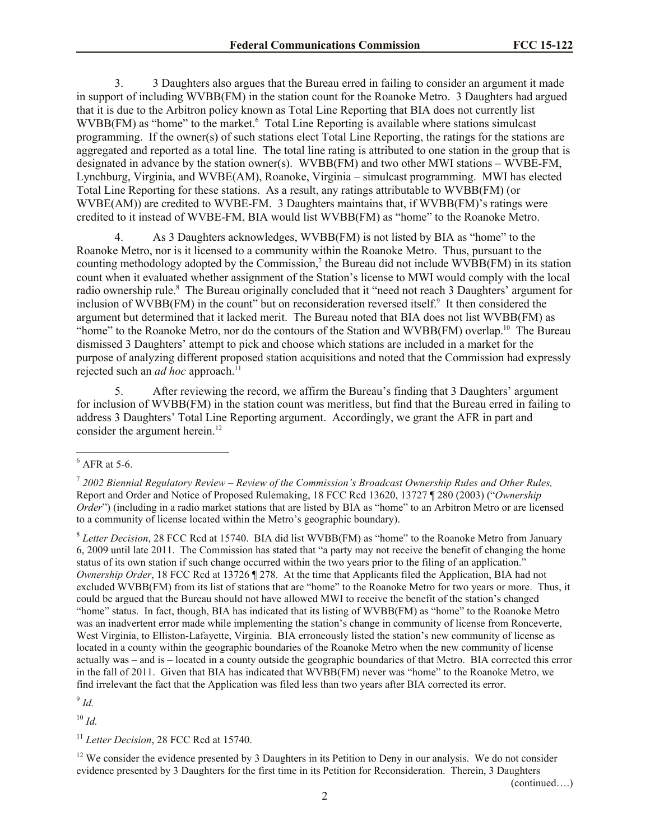3. 3 Daughters also argues that the Bureau erred in failing to consider an argument it made in support of including WVBB(FM) in the station count for the Roanoke Metro. 3 Daughters had argued that it is due to the Arbitron policy known as Total Line Reporting that BIA does not currently list WVBB(FM) as "home" to the market.<sup>6</sup> Total Line Reporting is available where stations simulcast programming. If the owner(s) of such stations elect Total Line Reporting, the ratings for the stations are aggregated and reported as a total line. The total line rating is attributed to one station in the group that is designated in advance by the station owner(s). WVBB(FM) and two other MWI stations – WVBE-FM, Lynchburg, Virginia, and WVBE(AM), Roanoke, Virginia – simulcast programming. MWI has elected Total Line Reporting for these stations. As a result, any ratings attributable to WVBB(FM) (or WVBE(AM)) are credited to WVBE-FM. 3 Daughters maintains that, if WVBB(FM)'s ratings were credited to it instead of WVBE-FM, BIA would list WVBB(FM) as "home" to the Roanoke Metro.

4. As 3 Daughters acknowledges, WVBB(FM) is not listed by BIA as "home" to the Roanoke Metro, nor is it licensed to a community within the Roanoke Metro. Thus, pursuant to the counting methodology adopted by the Commission,<sup>7</sup> the Bureau did not include  $WWBB(FM)$  in its station count when it evaluated whether assignment of the Station's license to MWI would comply with the local radio ownership rule.<sup>8</sup> The Bureau originally concluded that it "need not reach 3 Daughters' argument for inclusion of WVBB(FM) in the count" but on reconsideration reversed itself.<sup>9</sup> It then considered the argument but determined that it lacked merit. The Bureau noted that BIA does not list WVBB(FM) as "home" to the Roanoke Metro, nor do the contours of the Station and WVBB(FM) overlap.<sup>10</sup> The Bureau dismissed 3 Daughters' attempt to pick and choose which stations are included in a market for the purpose of analyzing different proposed station acquisitions and noted that the Commission had expressly rejected such an *ad hoc* approach.<sup>1</sup>

5. After reviewing the record, we affirm the Bureau's finding that 3 Daughters' argument for inclusion of WVBB(FM) in the station count was meritless, but find that the Bureau erred in failing to address 3 Daughters' Total Line Reporting argument. Accordingly, we grant the AFR in part and consider the argument herein.<sup>12</sup>

 $\overline{a}$ 

9 *Id.*

 $10 \, H$ 

<sup>11</sup> Letter Decision, 28 FCC Rcd at 15740.

<sup>12</sup> We consider the evidence presented by 3 Daughters in its Petition to Deny in our analysis. We do not consider evidence presented by 3 Daughters for the first time in its Petition for Reconsideration. Therein, 3 Daughters

(continued….)

 $6$  AFR at 5-6.

<sup>7</sup> *2002 Biennial Regulatory Review – Review of the Commission's Broadcast Ownership Rules and Other Rules,* Report and Order and Notice of Proposed Rulemaking, 18 FCC Rcd 13620, 13727 ¶ 280 (2003) ("*Ownership Order*") (including in a radio market stations that are listed by BIA as "home" to an Arbitron Metro or are licensed to a community of license located within the Metro's geographic boundary).

<sup>&</sup>lt;sup>8</sup> Letter Decision, 28 FCC Rcd at 15740. BIA did list WVBB(FM) as "home" to the Roanoke Metro from January 6, 2009 until late 2011. The Commission has stated that "a party may not receive the benefit of changing the home status of its own station if such change occurred within the two years prior to the filing of an application." *Ownership Order*, 18 FCC Rcd at 13726 ¶ 278. At the time that Applicants filed the Application, BIA had not excluded WVBB(FM) from its list of stations that are "home" to the Roanoke Metro for two years or more. Thus, it could be argued that the Bureau should not have allowed MWI to receive the benefit of the station's changed "home" status. In fact, though, BIA has indicated that its listing of WVBB(FM) as "home" to the Roanoke Metro was an inadvertent error made while implementing the station's change in community of license from Ronceverte, West Virginia, to Elliston-Lafayette, Virginia. BIA erroneously listed the station's new community of license as located in a county within the geographic boundaries of the Roanoke Metro when the new community of license actually was – and is – located in a county outside the geographic boundaries of that Metro. BIA corrected this error in the fall of 2011. Given that BIA has indicated that WVBB(FM) never was "home" to the Roanoke Metro, we find irrelevant the fact that the Application was filed less than two years after BIA corrected its error.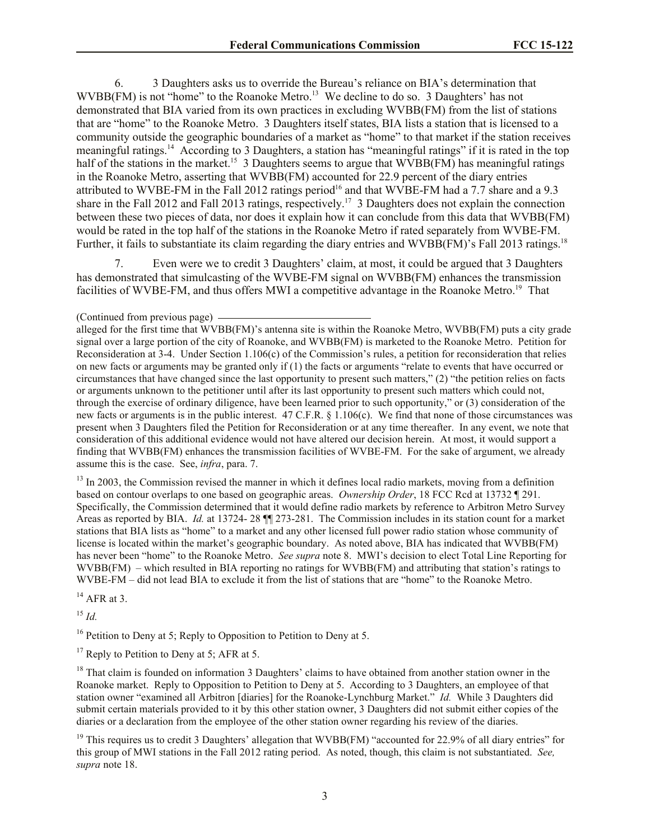6. 3 Daughters asks us to override the Bureau's reliance on BIA's determination that  $WVBB(FM)$  is not "home" to the Roanoke Metro.<sup>13</sup> We decline to do so. 3 Daughters' has not demonstrated that BIA varied from its own practices in excluding WVBB(FM) from the list of stations that are "home" to the Roanoke Metro. 3 Daughters itself states, BIA lists a station that is licensed to a community outside the geographic boundaries of a market as "home" to that market if the station receives meaningful ratings.<sup>14</sup> According to 3 Daughters, a station has "meaningful ratings" if it is rated in the top half of the stations in the market.<sup>15</sup> 3 Daughters seems to argue that WVBB(FM) has meaningful ratings in the Roanoke Metro, asserting that WVBB(FM) accounted for 22.9 percent of the diary entries attributed to WVBE-FM in the Fall 2012 ratings period<sup>16</sup> and that WVBE-FM had a 7.7 share and a 9.3 share in the Fall 2012 and Fall 2013 ratings, respectively.<sup>17</sup> 3 Daughters does not explain the connection between these two pieces of data, nor does it explain how it can conclude from this data that WVBB(FM) would be rated in the top half of the stations in the Roanoke Metro if rated separately from WVBE-FM. Further, it fails to substantiate its claim regarding the diary entries and WVBB(FM)'s Fall 2013 ratings.<sup>18</sup>

Even were we to credit 3 Daughters' claim, at most, it could be argued that 3 Daughters has demonstrated that simulcasting of the WVBE-FM signal on WVBB(FM) enhances the transmission facilities of WVBE-FM, and thus offers MWI a competitive advantage in the Roanoke Metro.<sup>19</sup> That

alleged for the first time that WVBB(FM)'s antenna site is within the Roanoke Metro, WVBB(FM) puts a city grade signal over a large portion of the city of Roanoke, and WVBB(FM) is marketed to the Roanoke Metro. Petition for Reconsideration at 3-4. Under Section 1.106(c) of the Commission's rules, a petition for reconsideration that relies on new facts or arguments may be granted only if (1) the facts or arguments "relate to events that have occurred or circumstances that have changed since the last opportunity to present such matters," (2) "the petition relies on facts or arguments unknown to the petitioner until after its last opportunity to present such matters which could not, through the exercise of ordinary diligence, have been learned prior to such opportunity," or (3) consideration of the new facts or arguments is in the public interest. 47 C.F.R. § 1.106(c). We find that none of those circumstances was present when 3 Daughters filed the Petition for Reconsideration or at any time thereafter. In any event, we note that consideration of this additional evidence would not have altered our decision herein. At most, it would support a finding that WVBB(FM) enhances the transmission facilities of WVBE-FM. For the sake of argument, we already assume this is the case. See, *infra*, para. 7.

<sup>13</sup> In 2003, the Commission revised the manner in which it defines local radio markets, moving from a definition based on contour overlaps to one based on geographic areas. *Ownership Order*, 18 FCC Rcd at 13732 ¶ 291. Specifically, the Commission determined that it would define radio markets by reference to Arbitron Metro Survey Areas as reported by BIA. *Id.* at 13724- 28 ¶¶ 273-281. The Commission includes in its station count for a market stations that BIA lists as "home" to a market and any other licensed full power radio station whose community of license is located within the market's geographic boundary. As noted above, BIA has indicated that WVBB(FM) has never been "home" to the Roanoke Metro. *See supra* note 8. MWI's decision to elect Total Line Reporting for WVBB(FM) – which resulted in BIA reporting no ratings for WVBB(FM) and attributing that station's ratings to WVBE-FM – did not lead BIA to exclude it from the list of stations that are "home" to the Roanoke Metro.

 $14$  AFR at 3.

<sup>15</sup> *Id.*

<sup>16</sup> Petition to Deny at 5; Reply to Opposition to Petition to Deny at 5.

 $17$  Reply to Petition to Deny at 5; AFR at 5.

<sup>18</sup> That claim is founded on information 3 Daughters' claims to have obtained from another station owner in the Roanoke market. Reply to Opposition to Petition to Deny at 5. According to 3 Daughters, an employee of that station owner "examined all Arbitron [diaries] for the Roanoke-Lynchburg Market." *Id.* While 3 Daughters did submit certain materials provided to it by this other station owner, 3 Daughters did not submit either copies of the diaries or a declaration from the employee of the other station owner regarding his review of the diaries.

<sup>(</sup>Continued from previous page)

 $19$  This requires us to credit 3 Daughters' allegation that WVBB(FM) "accounted for 22.9% of all diary entries" for this group of MWI stations in the Fall 2012 rating period. As noted, though, this claim is not substantiated. *See, supra* note 18.